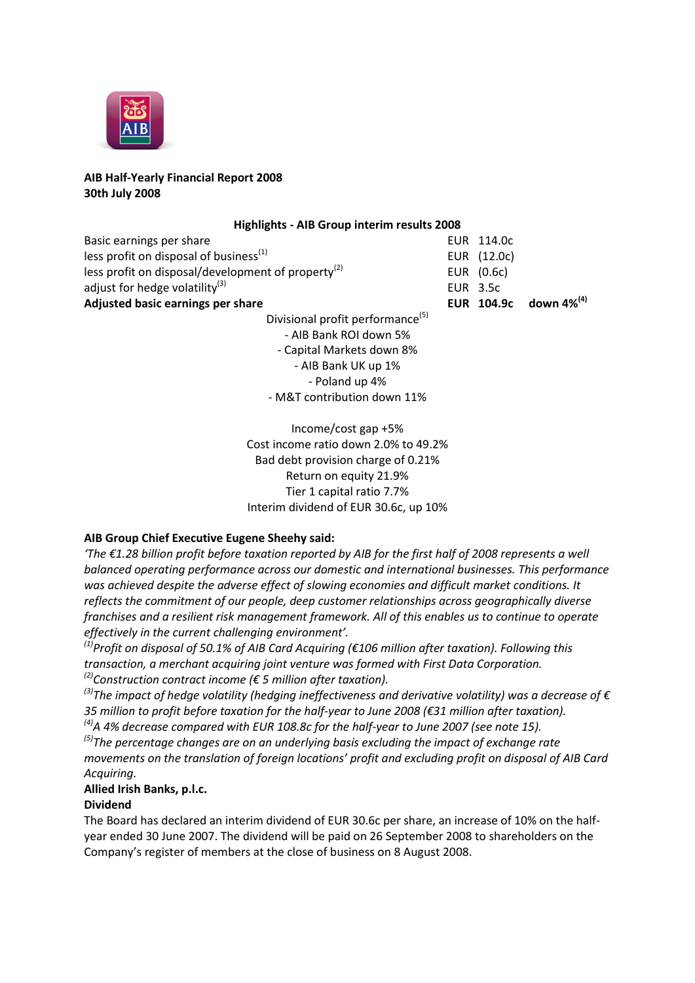

## **AIB Half-Yearly Financial Report 2008 30th July 2008**

### **Highlights - AIB Group interim results 2008**

| Basic earnings per share                              | EUR 114.0c  |                                   |
|-------------------------------------------------------|-------------|-----------------------------------|
| less profit on disposal of business $(1)$             | EUR (12.0c) |                                   |
| less profit on disposal/development of property $(2)$ | EUR (0.6c)  |                                   |
| adjust for hedge volatility $^{(3)}$                  | EUR 3.5c    |                                   |
| Adjusted basic earnings per share                     |             | EUR 104.9c down 4% <sup>(4)</sup> |
| Divisional profit performance <sup>(5)</sup>          |             |                                   |

Divisional profit performance(5) - AIB Bank ROI down 5% - Capital Markets down 8% - AIB Bank UK up 1% - Poland up 4% - M&T contribution down 11%

Income/cost gap +5% Cost income ratio down 2.0% to 49.2% Bad debt provision charge of 0.21% Return on equity 21.9% Tier 1 capital ratio 7.7% Interim dividend of EUR 30.6c, up 10%

## **AIB Group Chief Executive Eugene Sheehy said:**

*'The €1.28 billion profit before taxation reported by AIB for the first half of 2008 represents a well balanced operating performance across our domestic and international businesses. This performance was achieved despite the adverse effect of slowing economies and difficult market conditions. It reflects the commitment of our people, deep customer relationships across geographically diverse franchises and a resilient risk management framework. All of this enables us to continue to operate effectively in the current challenging environment'.*

*(1)Profit on disposal of 50.1% of AIB Card Acquiring (€106 million after taxation). Following this transaction, a merchant acquiring joint venture was formed with First Data Corporation. (2)Construction contract income (€ 5 million after taxation).*

*(3)The impact of hedge volatility (hedging ineffectiveness and derivative volatility) was a decrease of € 35 million to profit before taxation for the half-year to June 2008 (€31 million after taxation). (4)A 4% decrease compared with EUR 108.8c for the half-year to June 2007 (see note 15).*

*(5)The percentage changes are on an underlying basis excluding the impact of exchange rate movements on the translation of foreign locations' profit and excluding profit on disposal of AIB Card Acquiring.*

# **Allied Irish Banks, p.l.c.**

# **Dividend**

The Board has declared an interim dividend of EUR 30.6c per share, an increase of 10% on the halfyear ended 30 June 2007. The dividend will be paid on 26 September 2008 to shareholders on the Company's register of members at the close of business on 8 August 2008.